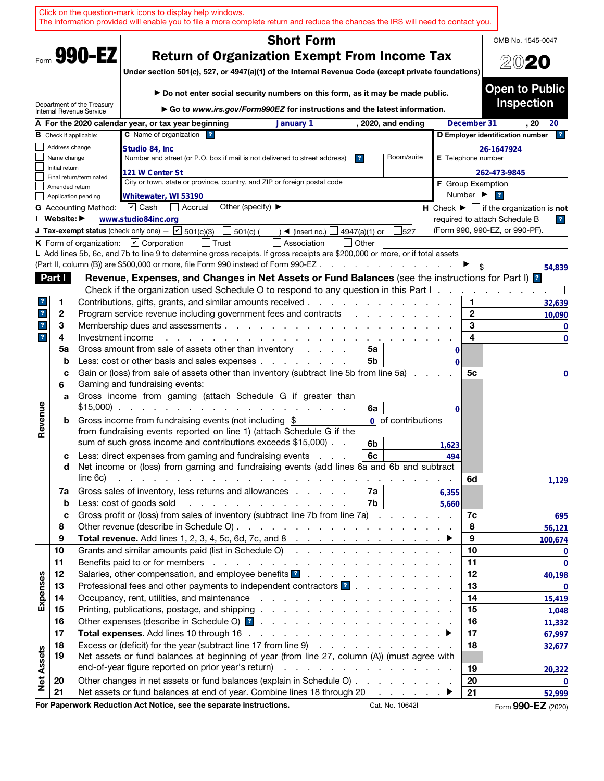|                              |                |                                                                                  | Click on the question-mark icons to display help windows.                    | The information provided will enable you to file a more complete return and reduce the chances the IRS will need to contact you.                                                                                                   |                                          |               |                                 |               |                              |                                                                 |
|------------------------------|----------------|----------------------------------------------------------------------------------|------------------------------------------------------------------------------|------------------------------------------------------------------------------------------------------------------------------------------------------------------------------------------------------------------------------------|------------------------------------------|---------------|---------------------------------|---------------|------------------------------|-----------------------------------------------------------------|
|                              |                |                                                                                  |                                                                              |                                                                                                                                                                                                                                    | <b>Short Form</b>                        |               |                                 |               |                              | OMB No. 1545-0047                                               |
|                              |                | Form 990-EZ                                                                      |                                                                              | <b>Return of Organization Exempt From Income Tax</b><br>Under section 501(c), 527, or 4947(a)(1) of the Internal Revenue Code (except private foundations)                                                                         |                                          |               |                                 |               |                              | 2020                                                            |
|                              |                | Department of the Treasury                                                       |                                                                              | Do not enter social security numbers on this form, as it may be made public.<br>$\triangleright$ Go to www.irs.gov/Form990EZ for instructions and the latest information.                                                          |                                          |               |                                 |               |                              | <b>Open to Public</b><br><b>Inspection</b>                      |
|                              |                | Internal Revenue Service                                                         | A For the 2020 calendar year, or tax year beginning                          |                                                                                                                                                                                                                                    | January 1                                |               | , 2020, and ending              |               | December 31                  | . 20<br>20                                                      |
|                              |                | <b>B</b> Check if applicable:                                                    | C Name of organization ?                                                     |                                                                                                                                                                                                                                    |                                          |               |                                 |               |                              | D Employer identification number<br>$\mathbf{r}$                |
|                              | Address change |                                                                                  | Studio 84, Inc.                                                              |                                                                                                                                                                                                                                    |                                          |               |                                 |               |                              | 26-1647924                                                      |
|                              | Name change    |                                                                                  |                                                                              | Number and street (or P.O. box if mail is not delivered to street address)                                                                                                                                                         |                                          | $\mathbf{r}$  | Room/suite                      |               | E Telephone number           |                                                                 |
|                              | Initial return |                                                                                  | 121 W Center St                                                              |                                                                                                                                                                                                                                    |                                          |               |                                 |               |                              | 262-473-9845                                                    |
|                              | Amended return | Final return/terminated                                                          |                                                                              | City or town, state or province, country, and ZIP or foreign postal code                                                                                                                                                           |                                          |               |                                 |               | <b>F</b> Group Exemption     |                                                                 |
|                              |                | Application pending                                                              | Whitewater, WI 53190                                                         |                                                                                                                                                                                                                                    |                                          |               |                                 |               | Number $\blacktriangleright$ | $\overline{\mathbf{r}}$                                         |
|                              |                | <b>G</b> Accounting Method:                                                      | $ \mathbf{v} $ Cash<br>$\Box$ Accrual                                        | Other (specify) $\blacktriangleright$                                                                                                                                                                                              |                                          |               |                                 |               |                              | $H$ Check $\blacktriangleright \Box$ if the organization is not |
|                              | I Website: ▶   |                                                                                  | www.studio84inc.org                                                          |                                                                                                                                                                                                                                    |                                          |               |                                 |               |                              | required to attach Schedule B<br>$\overline{ }$                 |
|                              |                |                                                                                  | <b>J Tax-exempt status</b> (check only one) - $\boxed{\checkmark}$ 501(c)(3) | 501(c) (                                                                                                                                                                                                                           | $\blacktriangleleft$ (insert no.) $\Box$ | 4947(a)(1) or | 527                             |               |                              | (Form 990, 990-EZ, or 990-PF).                                  |
|                              |                |                                                                                  | K Form of organization: $\Box$ Corporation                                   | l Trust<br>L Add lines 5b, 6c, and 7b to line 9 to determine gross receipts. If gross receipts are \$200,000 or more, or if total assets                                                                                           | Association                              | Other         |                                 |               |                              |                                                                 |
|                              |                |                                                                                  |                                                                              | (Part II, column (B)) are \$500,000 or more, file Form 990 instead of Form 990-EZ.                                                                                                                                                 |                                          |               | the contract of the contract of |               |                              |                                                                 |
|                              | Part I         |                                                                                  |                                                                              | Revenue, Expenses, and Changes in Net Assets or Fund Balances (see the instructions for Part I) <sup>1</sup>                                                                                                                       |                                          |               |                                 |               |                              | 54,839                                                          |
|                              |                |                                                                                  |                                                                              | Check if the organization used Schedule O to respond to any question in this Part I.                                                                                                                                               |                                          |               |                                 |               |                              | $\cdot$                                                         |
| ?.                           | 1              |                                                                                  |                                                                              | Contributions, gifts, grants, and similar amounts received.                                                                                                                                                                        |                                          |               |                                 |               | 1                            | 32,639                                                          |
| ?                            | 2              |                                                                                  |                                                                              | Program service revenue including government fees and contracts                                                                                                                                                                    |                                          |               |                                 |               | $\mathbf{2}$                 | 10,090                                                          |
| $\mathbf{r}$<br>$\mathbf{?}$ | 3              |                                                                                  | 3<br>Membership dues and assessments<br>4                                    |                                                                                                                                                                                                                                    |                                          |               |                                 |               | 0                            |                                                                 |
|                              | 4<br>5a        | Investment income<br>Gross amount from sale of assets other than inventory<br>5a |                                                                              |                                                                                                                                                                                                                                    |                                          |               |                                 |               | 0                            |                                                                 |
|                              | b              |                                                                                  |                                                                              | Less: cost or other basis and sales expenses                                                                                                                                                                                       |                                          | 5b            |                                 | 0<br>$\Omega$ |                              |                                                                 |
|                              | c<br>6         |                                                                                  | Gaming and fundraising events:                                               | Gain or (loss) from sale of assets other than inventory (subtract line 5b from line 5a).                                                                                                                                           |                                          |               |                                 |               | 5с                           | 0                                                               |
|                              | a              |                                                                                  | $$15,000$                                                                    | Gross income from gaming (attach Schedule G if greater than                                                                                                                                                                        |                                          | 6a            |                                 | 0             |                              |                                                                 |
| Revenue                      | b              |                                                                                  |                                                                              | Gross income from fundraising events (not including \$<br>from fundraising events reported on line 1) (attach Schedule G if the<br>sum of such gross income and contributions exceeds \$15,000).                                   |                                          | 6b            | 0 of contributions              |               |                              |                                                                 |
|                              | с              |                                                                                  |                                                                              | Less: direct expenses from gaming and fundraising events                                                                                                                                                                           |                                          | 6с            |                                 | 1,623<br>494  |                              |                                                                 |
|                              | d              | line 6c)                                                                         |                                                                              | Net income or (loss) from gaming and fundraising events (add lines 6a and 6b and subtract<br>المتعاون والمتعاون والمتعاون والمتعاون والمتعاون والمتعاون والمتعاون والمتعاونة والمتعاونة                                            |                                          |               |                                 |               | 6d                           | 1,129                                                           |
|                              | 7a             |                                                                                  |                                                                              | Gross sales of inventory, less returns and allowances                                                                                                                                                                              |                                          | 7a            |                                 | 6,355         |                              |                                                                 |
|                              | b              |                                                                                  | Less: cost of goods sold                                                     |                                                                                                                                                                                                                                    |                                          | 7b            |                                 | 5,660         |                              |                                                                 |
|                              | c<br>8         |                                                                                  |                                                                              | Gross profit or (loss) from sales of inventory (subtract line 7b from line 7a)                                                                                                                                                     |                                          |               |                                 |               | 7c<br>8                      | 695                                                             |
|                              | 9              |                                                                                  |                                                                              |                                                                                                                                                                                                                                    |                                          |               |                                 |               | 9                            | 56,121<br>100,674                                               |
|                              | 10             |                                                                                  |                                                                              | Grants and similar amounts paid (list in Schedule O)                                                                                                                                                                               |                                          |               |                                 |               | 10                           | $\mathbf 0$                                                     |
|                              | 11             |                                                                                  |                                                                              |                                                                                                                                                                                                                                    |                                          |               |                                 |               | 11                           | 0                                                               |
|                              | 12             |                                                                                  |                                                                              | Salaries, other compensation, and employee benefits <b>8</b> and a contract of the contract of the salaries, other contract of the contract of the contract of the contract of the contract of the contract of the contract of the |                                          |               |                                 |               | 12                           | 40,198                                                          |
|                              | 13             |                                                                                  |                                                                              | Professional fees and other payments to independent contractors ?                                                                                                                                                                  |                                          |               |                                 |               | 13                           | 0                                                               |
| Expenses                     | 14             |                                                                                  |                                                                              |                                                                                                                                                                                                                                    |                                          |               |                                 |               | 14                           | 15,419                                                          |
|                              | 15             |                                                                                  |                                                                              |                                                                                                                                                                                                                                    |                                          |               |                                 |               | 15                           | 1,048                                                           |
|                              | 16             |                                                                                  |                                                                              |                                                                                                                                                                                                                                    |                                          |               |                                 |               | 16                           | 11,332                                                          |
|                              | 17             |                                                                                  |                                                                              |                                                                                                                                                                                                                                    |                                          |               |                                 |               | 17                           | 67,997                                                          |
| <b>Net Assets</b>            | 18<br>19       |                                                                                  |                                                                              | Excess or (deficit) for the year (subtract line 17 from line 9)<br>Net assets or fund balances at beginning of year (from line 27, column (A)) (must agree with                                                                    |                                          |               |                                 |               | 18                           | 32,677                                                          |
|                              |                |                                                                                  |                                                                              |                                                                                                                                                                                                                                    |                                          |               |                                 |               | 19                           | 20,322                                                          |
|                              | 20<br>21       |                                                                                  |                                                                              | Other changes in net assets or fund balances (explain in Schedule O)<br>Net assets or fund balances at end of year. Combine lines 18 through 20                                                                                    |                                          |               |                                 |               | 20<br>21                     | 0                                                               |
|                              |                |                                                                                  |                                                                              | For Paperwork Reduction Act Notice, see the separate instructions.                                                                                                                                                                 |                                          |               | Cat. No. 10642I                 |               |                              | 52,999<br>Form 990-EZ (2020)                                    |
|                              |                |                                                                                  |                                                                              |                                                                                                                                                                                                                                    |                                          |               |                                 |               |                              |                                                                 |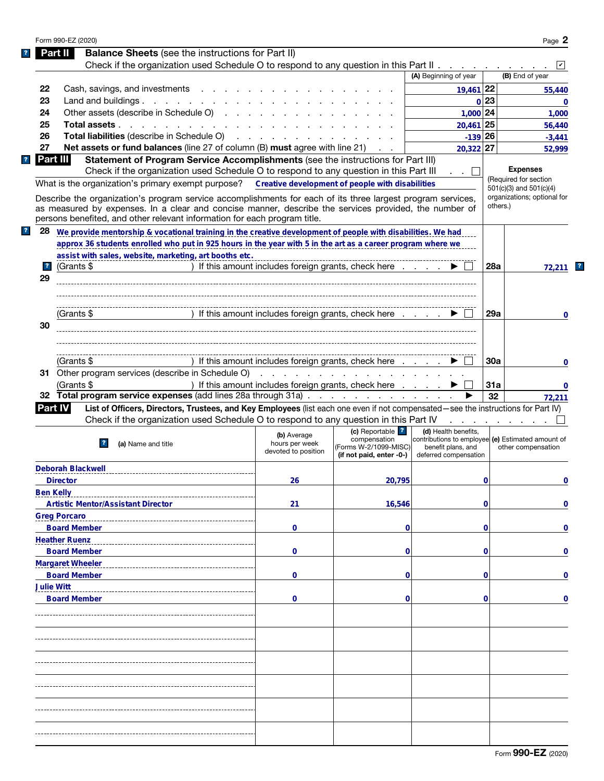|                         | <b>Balance Sheets</b> (see the instructions for Part II)<br>Part II                                                                                                                                                                 |                                                      |                                                                                       |                                                                                                                          |          |                                      |
|-------------------------|-------------------------------------------------------------------------------------------------------------------------------------------------------------------------------------------------------------------------------------|------------------------------------------------------|---------------------------------------------------------------------------------------|--------------------------------------------------------------------------------------------------------------------------|----------|--------------------------------------|
|                         | Check if the organization used Schedule O to respond to any question in this Part II                                                                                                                                                |                                                      |                                                                                       |                                                                                                                          |          |                                      |
|                         |                                                                                                                                                                                                                                     |                                                      |                                                                                       | (A) Beginning of year                                                                                                    |          | (B) End of year                      |
| 22                      | Cash, savings, and investments                                                                                                                                                                                                      |                                                      |                                                                                       | 19,461 22                                                                                                                |          | 55,440                               |
| 23                      | Land and buildings. $\ldots$                                                                                                                                                                                                        |                                                      |                                                                                       |                                                                                                                          | 0 23     | 0                                    |
| 24                      | Other assets (describe in Schedule O)                                                                                                                                                                                               |                                                      |                                                                                       | $1,000$ 24                                                                                                               |          | 1,000                                |
| 25                      | Total assets                                                                                                                                                                                                                        |                                                      |                                                                                       | $20,461$ 25                                                                                                              |          | 56,440                               |
| 26                      | <b>Total liabilities</b> (describe in Schedule O) (and a contract of the contract of the contract of the contract of the contract of the contract of the contract of the contract of the contract of the contract of the contract o |                                                      |                                                                                       | $-139$ 26                                                                                                                |          |                                      |
| 27                      | <b>Net assets or fund balances</b> (line 27 of column (B) <b>must</b> agree with line 21)                                                                                                                                           |                                                      |                                                                                       | $20,322$ 27                                                                                                              |          | $-3,441$                             |
|                         | Part III<br>Statement of Program Service Accomplishments (see the instructions for Part III)                                                                                                                                        |                                                      |                                                                                       |                                                                                                                          |          | 52,999                               |
|                         | Check if the organization used Schedule O to respond to any question in this Part III                                                                                                                                               |                                                      |                                                                                       |                                                                                                                          |          | <b>Expenses</b>                      |
|                         |                                                                                                                                                                                                                                     |                                                      |                                                                                       | . . ⊔                                                                                                                    |          | (Required for section                |
|                         | What is the organization's primary exempt purpose? Creative development of people with disabilities                                                                                                                                 |                                                      |                                                                                       |                                                                                                                          |          | $501(c)(3)$ and $501(c)(4)$          |
|                         | Describe the organization's program service accomplishments for each of its three largest program services,                                                                                                                         |                                                      |                                                                                       |                                                                                                                          |          | organizations; optional for          |
|                         | as measured by expenses. In a clear and concise manner, describe the services provided, the number of                                                                                                                               |                                                      |                                                                                       |                                                                                                                          | others.) |                                      |
|                         | persons benefited, and other relevant information for each program title.                                                                                                                                                           |                                                      |                                                                                       |                                                                                                                          |          |                                      |
| 28                      | We provide mentorship & vocational training in the creative development of people with disabilities. We had                                                                                                                         |                                                      |                                                                                       |                                                                                                                          |          |                                      |
|                         | approx 36 students enrolled who put in 925 hours in the year with 5 in the art as a career program where we                                                                                                                         |                                                      |                                                                                       |                                                                                                                          |          |                                      |
|                         | assist with sales, website, marketing, art booths etc.                                                                                                                                                                              |                                                      |                                                                                       |                                                                                                                          |          |                                      |
| $\overline{\mathbf{r}}$ | (Grants \$                                                                                                                                                                                                                          | ) If this amount includes foreign grants, check here |                                                                                       |                                                                                                                          | 28a      | 72,211                               |
| 29                      |                                                                                                                                                                                                                                     |                                                      |                                                                                       |                                                                                                                          |          |                                      |
|                         |                                                                                                                                                                                                                                     |                                                      |                                                                                       |                                                                                                                          |          |                                      |
|                         |                                                                                                                                                                                                                                     |                                                      |                                                                                       |                                                                                                                          |          |                                      |
|                         |                                                                                                                                                                                                                                     |                                                      |                                                                                       |                                                                                                                          |          | 0                                    |
|                         | (Grants \$                                                                                                                                                                                                                          | ) If this amount includes foreign grants, check here |                                                                                       |                                                                                                                          | 29a      |                                      |
| 30                      |                                                                                                                                                                                                                                     |                                                      |                                                                                       |                                                                                                                          |          |                                      |
|                         |                                                                                                                                                                                                                                     |                                                      |                                                                                       |                                                                                                                          |          |                                      |
|                         |                                                                                                                                                                                                                                     |                                                      |                                                                                       |                                                                                                                          |          |                                      |
|                         | (Grants \$                                                                                                                                                                                                                          | ) If this amount includes foreign grants, check here |                                                                                       |                                                                                                                          | 30a      |                                      |
|                         | 31 Other program services (describe in Schedule O)                                                                                                                                                                                  |                                                      |                                                                                       |                                                                                                                          |          |                                      |
|                         | (Grants \$                                                                                                                                                                                                                          | ) If this amount includes foreign grants, check here |                                                                                       |                                                                                                                          | 31a      | 0                                    |
|                         | 32 Total program service expenses (add lines 28a through 31a)                                                                                                                                                                       |                                                      |                                                                                       |                                                                                                                          |          |                                      |
|                         |                                                                                                                                                                                                                                     |                                                      |                                                                                       |                                                                                                                          |          |                                      |
|                         |                                                                                                                                                                                                                                     |                                                      |                                                                                       |                                                                                                                          | 32       |                                      |
|                         | List of Officers, Directors, Trustees, and Key Employees (list each one even if not compensated—see the instructions for Part IV)<br><b>Part IV</b>                                                                                 |                                                      |                                                                                       |                                                                                                                          |          |                                      |
|                         | Check if the organization used Schedule O to respond to any question in this Part IV                                                                                                                                                |                                                      |                                                                                       |                                                                                                                          |          | and the state of the state of the    |
|                         | (a) Name and title                                                                                                                                                                                                                  | (b) Average<br>hours per week<br>devoted to position | (c) Reportable ?<br>compensation<br>(Forms W-2/1099-MISC)<br>(if not paid, enter -0-) | (d) Health benefits,<br>contributions to employee (e) Estimated amount of<br>benefit plans, and<br>deferred compensation |          | other compensation                   |
|                         |                                                                                                                                                                                                                                     |                                                      |                                                                                       |                                                                                                                          |          |                                      |
|                         | <b>Deborah Blackwell</b>                                                                                                                                                                                                            |                                                      |                                                                                       |                                                                                                                          |          |                                      |
|                         | <b>Director</b>                                                                                                                                                                                                                     | 26                                                   | 20,795                                                                                |                                                                                                                          | 0        |                                      |
|                         | <b>Ben Kelly</b>                                                                                                                                                                                                                    |                                                      |                                                                                       |                                                                                                                          |          |                                      |
|                         | <b>Artistic Mentor/Assistant Director</b>                                                                                                                                                                                           | 21                                                   | 16,546                                                                                |                                                                                                                          | 0        |                                      |
|                         | <b>Greg Porcaro</b>                                                                                                                                                                                                                 |                                                      |                                                                                       |                                                                                                                          |          |                                      |
|                         | <b>Board Member</b>                                                                                                                                                                                                                 | 0                                                    | 0                                                                                     |                                                                                                                          | 0        |                                      |
|                         | <b>Heather Ruenz</b>                                                                                                                                                                                                                |                                                      |                                                                                       |                                                                                                                          |          |                                      |
|                         | <b>Board Member</b>                                                                                                                                                                                                                 | 0                                                    | 0                                                                                     |                                                                                                                          | 0        |                                      |
|                         |                                                                                                                                                                                                                                     |                                                      |                                                                                       |                                                                                                                          |          |                                      |
|                         | <b>Margaret Wheeler</b>                                                                                                                                                                                                             |                                                      |                                                                                       |                                                                                                                          |          |                                      |
|                         | <b>Board Member</b>                                                                                                                                                                                                                 | 0                                                    | 0                                                                                     |                                                                                                                          | 0        |                                      |
|                         | <b>Julie Witt</b>                                                                                                                                                                                                                   |                                                      |                                                                                       |                                                                                                                          |          |                                      |
|                         | <b>Board Member</b>                                                                                                                                                                                                                 | 0                                                    | 0                                                                                     |                                                                                                                          | 0        |                                      |
|                         |                                                                                                                                                                                                                                     |                                                      |                                                                                       |                                                                                                                          |          |                                      |
|                         |                                                                                                                                                                                                                                     |                                                      |                                                                                       |                                                                                                                          |          |                                      |
|                         |                                                                                                                                                                                                                                     |                                                      |                                                                                       |                                                                                                                          |          |                                      |
|                         |                                                                                                                                                                                                                                     |                                                      |                                                                                       |                                                                                                                          |          |                                      |
|                         |                                                                                                                                                                                                                                     |                                                      |                                                                                       |                                                                                                                          |          |                                      |
|                         |                                                                                                                                                                                                                                     |                                                      |                                                                                       |                                                                                                                          |          |                                      |
|                         |                                                                                                                                                                                                                                     |                                                      |                                                                                       |                                                                                                                          |          |                                      |
|                         |                                                                                                                                                                                                                                     |                                                      |                                                                                       |                                                                                                                          |          |                                      |
|                         |                                                                                                                                                                                                                                     |                                                      |                                                                                       |                                                                                                                          |          |                                      |
|                         |                                                                                                                                                                                                                                     |                                                      |                                                                                       |                                                                                                                          |          |                                      |
|                         |                                                                                                                                                                                                                                     |                                                      |                                                                                       |                                                                                                                          |          |                                      |
|                         |                                                                                                                                                                                                                                     |                                                      |                                                                                       |                                                                                                                          |          | 72,211<br>0<br>0<br>0<br>0<br>0<br>0 |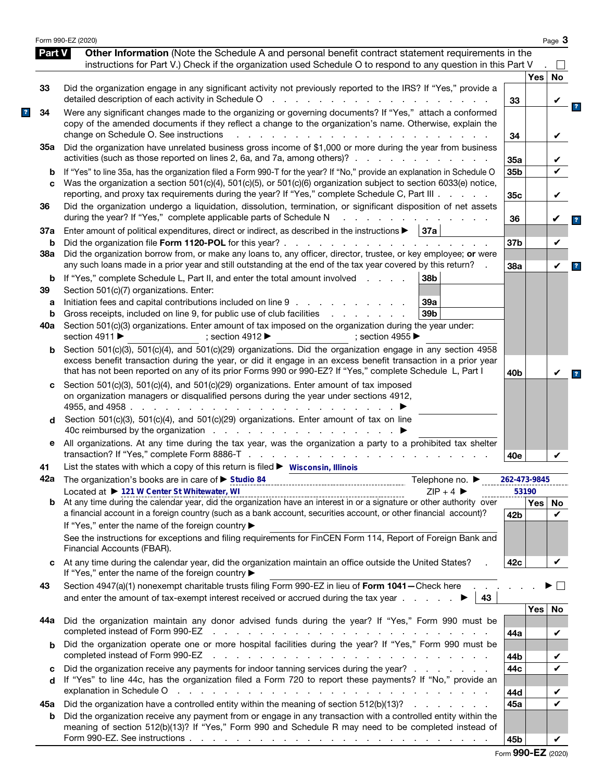|               | Form 990-EZ (2020)                                                                                                                                                                                                                                                                                                                                                             |                 |            | Page 3       |
|---------------|--------------------------------------------------------------------------------------------------------------------------------------------------------------------------------------------------------------------------------------------------------------------------------------------------------------------------------------------------------------------------------|-----------------|------------|--------------|
| <b>Part V</b> | Other Information (Note the Schedule A and personal benefit contract statement requirements in the<br>instructions for Part V.) Check if the organization used Schedule O to respond to any question in this Part V                                                                                                                                                            |                 |            |              |
|               |                                                                                                                                                                                                                                                                                                                                                                                |                 | <b>Yes</b> | $\mathsf{L}$ |
| 33            | Did the organization engage in any significant activity not previously reported to the IRS? If "Yes," provide a<br>detailed description of each activity in Schedule O<br>and a contract of the contract of the                                                                                                                                                                | 33              |            | No<br>V      |
| 34            | Were any significant changes made to the organizing or governing documents? If "Yes," attach a conformed<br>copy of the amended documents if they reflect a change to the organization's name. Otherwise, explain the<br>change on Schedule O. See instructions<br>$\mathbf{r}$                                                                                                | 34              |            | V            |
| 35а           | Did the organization have unrelated business gross income of \$1,000 or more during the year from business<br>activities (such as those reported on lines 2, 6a, and 7a, among others)?                                                                                                                                                                                        | 35a             |            |              |
| b<br>C        | If "Yes" to line 35a, has the organization filed a Form 990-T for the year? If "No," provide an explanation in Schedule O<br>Was the organization a section 501(c)(4), 501(c)(5), or 501(c)(6) organization subject to section 6033(e) notice,                                                                                                                                 | 35b             |            | ✓            |
| 36            | reporting, and proxy tax requirements during the year? If "Yes," complete Schedule C, Part III<br>Did the organization undergo a liquidation, dissolution, termination, or significant disposition of net assets                                                                                                                                                               | 35c             |            | V            |
| 37a           | during the year? If "Yes," complete applicable parts of Schedule N<br>Enter amount of political expenditures, direct or indirect, as described in the instructions $\blacktriangleright$   37a                                                                                                                                                                                 | 36              |            |              |
| b<br>38a      | Did the organization file Form 1120-POL for this year?.<br>the second contract of the second contract of the second<br>Did the organization borrow from, or make any loans to, any officer, director, trustee, or key employee; or were                                                                                                                                        | 37b             |            | V            |
| b             | any such loans made in a prior year and still outstanding at the end of the tax year covered by this return?<br>If "Yes," complete Schedule L, Part II, and enter the total amount involved<br>38b                                                                                                                                                                             | 38a             |            | V            |
| 39            | Section 501(c)(7) organizations. Enter:                                                                                                                                                                                                                                                                                                                                        |                 |            |              |
| a<br>b        | Initiation fees and capital contributions included on line 9<br>39a<br>Gross receipts, included on line 9, for public use of club facilities<br>39 <sub>b</sub><br>and a state of the state of the                                                                                                                                                                             |                 |            |              |
| 40a           | Section 501(c)(3) organizations. Enter amount of tax imposed on the organization during the year under:<br>section 4911 $\blacktriangleright$<br>: section 4912 $\blacktriangleright$<br>: section 4955 $\blacktriangleright$                                                                                                                                                  |                 |            |              |
| b             | Section 501(c)(3), 501(c)(4), and 501(c)(29) organizations. Did the organization engage in any section 4958<br>excess benefit transaction during the year, or did it engage in an excess benefit transaction in a prior year<br>that has not been reported on any of its prior Forms 990 or 990-EZ? If "Yes," complete Schedule L, Part I                                      | 40 <sub>b</sub> |            | V            |
| c             | Section 501(c)(3), 501(c)(4), and 501(c)(29) organizations. Enter amount of tax imposed<br>on organization managers or disqualified persons during the year under sections 4912,<br>4955, and 4958.<br>the company of the company of the                                                                                                                                       |                 |            |              |
| d             | Section 501(c)(3), 501(c)(4), and 501(c)(29) organizations. Enter amount of tax on line<br>40c reimbursed by the organization $\cdots$ $\cdots$ $\cdots$ $\cdots$ $\cdots$                                                                                                                                                                                                     |                 |            |              |
| е             | All organizations. At any time during the tax year, was the organization a party to a prohibited tax shelter<br>transaction? If "Yes," complete Form 8886-T<br>and the company of the company<br>and a state of the state of                                                                                                                                                   | 40e             |            | V            |
| 41            | List the states with which a copy of this return is filed $\blacktriangleright$ Wisconsin, Illinois                                                                                                                                                                                                                                                                            |                 |            |              |
|               | 42a The organization's books are in care of ► Studio 84<br>Telephone no. $\blacktriangleright$                                                                                                                                                                                                                                                                                 | 262-473-9845    |            |              |
|               | Located at ▶ 121 W Center St Whitewater, WI<br>$ZIP + 4$                                                                                                                                                                                                                                                                                                                       |                 | 53190      |              |
| b             | a financial account in a foreign country (such as a bank account, securities account, or other financial account)?<br>If "Yes," enter the name of the foreign country ▶                                                                                                                                                                                                        | 42 <sub>b</sub> | <b>Yes</b> | No.<br>V     |
|               | See the instructions for exceptions and filing requirements for FinCEN Form 114, Report of Foreign Bank and<br>Financial Accounts (FBAR).                                                                                                                                                                                                                                      |                 |            |              |
| C             | At any time during the calendar year, did the organization maintain an office outside the United States?<br>If "Yes," enter the name of the foreign country ▶                                                                                                                                                                                                                  | 42c             |            | V            |
| 43            | Section 4947(a)(1) nonexempt charitable trusts filing Form 990-EZ in lieu of Form 1041-Check here.<br>and enter the amount of tax-exempt interest received or accrued during the tax year $\ldots$<br>43                                                                                                                                                                       |                 |            |              |
| 44а           | Did the organization maintain any donor advised funds during the year? If "Yes," Form 990 must be<br>completed instead of Form 990-EZ<br>the contract of the contract of the contract of the contract of the contract of the contract of the contract of                                                                                                                       | 44a             | <b>Yes</b> | No<br>V      |
| b             | Did the organization operate one or more hospital facilities during the year? If "Yes," Form 990 must be<br>completed instead of Form 990-EZ<br>and a complete the control of the complete state of the complete state of the complete state of the complete state of the complete state of the complete state of the complete state of the complete state of the complete sta |                 |            |              |
| c             | Did the organization receive any payments for indoor tanning services during the year?                                                                                                                                                                                                                                                                                         | 44b<br>44c      |            | V<br>V       |
| d             | If "Yes" to line 44c, has the organization filed a Form 720 to report these payments? If "No," provide an<br>explanation in Schedule O<br>والمتعاون والمتعاون والمتعاون والمتعاون والمتعاون والمتعاون والمتعاون والمتعاون والمتعاون والمتعاون                                                                                                                                  | 44d             |            |              |
| 45а           | Did the organization have a controlled entity within the meaning of section 512(b)(13)?                                                                                                                                                                                                                                                                                        | 45а             |            | ✓            |
| b             | Did the organization receive any payment from or engage in any transaction with a controlled entity within the<br>meaning of section 512(b)(13)? If "Yes," Form 990 and Schedule R may need to be completed instead of                                                                                                                                                         |                 |            |              |
|               |                                                                                                                                                                                                                                                                                                                                                                                | 45b             |            | V            |

|  |  |  | Form 990-EZ (2020) |
|--|--|--|--------------------|
|--|--|--|--------------------|